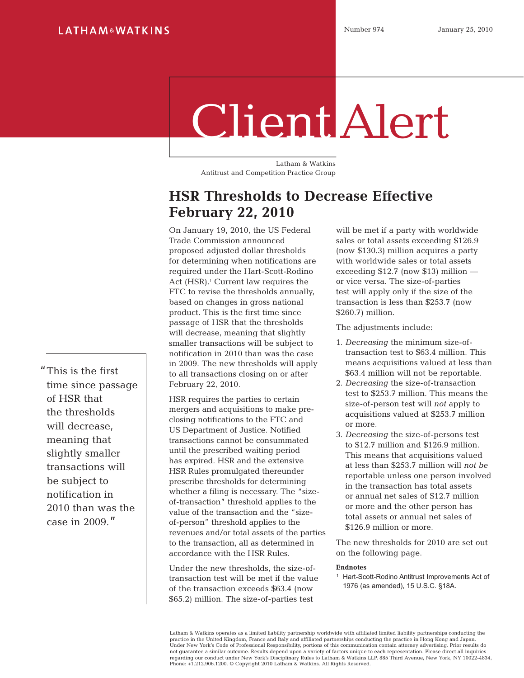# Client Alert

Latham & Watkins Antitrust and Competition Practice Group

# **HSR Thresholds to Decrease Effective February 22, 2010**

On January 19, 2010, the US Federal Trade Commission announced proposed adjusted dollar thresholds for determining when notifications are required under the Hart-Scott-Rodino Act (HSR).<sup>1</sup> Current law requires the FTC to revise the thresholds annually, based on changes in gross national product. This is the first time since passage of HSR that the thresholds will decrease, meaning that slightly smaller transactions will be subject to notification in 2010 than was the case in 2009. The new thresholds will apply to all transactions closing on or after February 22, 2010.

HSR requires the parties to certain mergers and acquisitions to make preclosing notifications to the FTC and US Department of Justice. Notified transactions cannot be consummated until the prescribed waiting period has expired. HSR and the extensive HSR Rules promulgated thereunder prescribe thresholds for determining whether a filing is necessary. The "sizeof-transaction" threshold applies to the value of the transaction and the "sizeof-person" threshold applies to the revenues and/or total assets of the parties to the transaction, all as determined in accordance with the HSR Rules.

Under the new thresholds, the size-oftransaction test will be met if the value of the transaction exceeds \$63.4 (now \$65.2) million. The size-of-parties test

will be met if a party with worldwide sales or total assets exceeding \$126.9 (now \$130.3) million acquires a party with worldwide sales or total assets exceeding  $$12.7$  (now  $$13$ ) million or vice versa. The size-of-parties test will apply only if the size of the transaction is less than \$253.7 (now \$260.7) million.

The adjustments include:

- 1. *Decreasing* the minimum size-oftransaction test to \$63.4 million. This means acquisitions valued at less than \$63.4 million will not be reportable.
- 2. *Decreasing* the size-of-transaction test to \$253.7 million. This means the size-of-person test will *not* apply to acquisitions valued at \$253.7 million or more.
- 3. *Decreasing* the size-of-persons test to \$12.7 million and \$126.9 million. This means that acquisitions valued at less than \$253.7 million will *not be* reportable unless one person involved in the transaction has total assets or annual net sales of \$12.7 million or more and the other person has total assets or annual net sales of \$126.9 million or more.

The new thresholds for 2010 are set out on the following page.

#### **Endnotes**

<sup>1</sup> Hart-Scott-Rodino Antitrust Improvements Act of 1976 (as amended), 15 U.S.C. §18A.

Latham & Watkins operates as a limited liability partnership worldwide with affiliated limited liability partnerships conducting the practice in the United Kingdom, France and Italy and affiliated partnerships conducting the practice in Hong Kong and Japan. Under New York's Code of Professional Responsibility, portions of this communication contain attorney advertising. Prior results do not guarantee a similar outcome. Results depend upon a variety of factors unique to each representation. Please direct all inquiries<br>regarding our conduct under New York's Disciplinary Rules to Latham & Watkins LLP, 885 Th Phone: +1.212.906.1200. © Copyright 2010 Latham & Watkins. All Rights Reserved.

"This is the first time since passage of HSR that the thresholds will decrease, meaning that slightly smaller transactions will be subject to notification in 2010 than was the case in 2009."